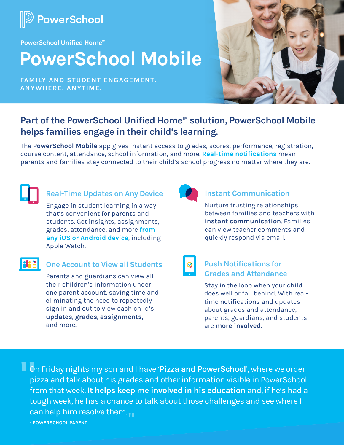

**PowerSchool Unified Home™** 

# **PowerSchool Mobile**

**FAMILY AND STUDENT ENGAGEMENT. ANYWHERE. ANYTIME.**



# Part of the PowerSchool Unified Home<sup>™</sup> solution, PowerSchool Mobile **helps families engage in their child's learning.**

The **PowerSchool Mobile** app gives instant access to grades, scores, performance, registration, course content, attendance, school information, and more. **Real-time notifications** mean parents and families stay connected to their child's school progress no matter where they are.

| ٧ |  |
|---|--|
|   |  |
|   |  |

#### **Real-Time Updates on Any Device 19 Instant Communication**

Engage in student learning in a way that's convenient for parents and students. Get insights, assignments, grades, attendance, and more **from any iOS or Android device**, including Apple Watch.

### **One Account to View all Students**

Parents and guardians can view all their children's information under one parent account, saving time and eliminating the need to repeatedly sign in and out to view each child's **updates**, **grades**, **assignments**, and more.



Nurture trusting relationships between families and teachers with **instant communication**. Families can view teacher comments and quickly respond via email.

### **Push Notifications for Grades and Attendance**

Stay in the loop when your child does well or fall behind. With realtime notifications and updates about grades and attendance, parents, guardians, and students are **more involved**.

On Friday nights my son and I have '**Pizza and PowerSchool**', where we order pizza and talk about his grades and other information visible in PowerSchool from that week. **It helps keep me involved in his education** and, if he's had a tough week, he has a chance to talk about those challenges and see where I can help him resolve them.<sub></sup><br><sup>- роwекsсноог ракемт</sup></sub> **- POWERSCHOOL PARENT "**